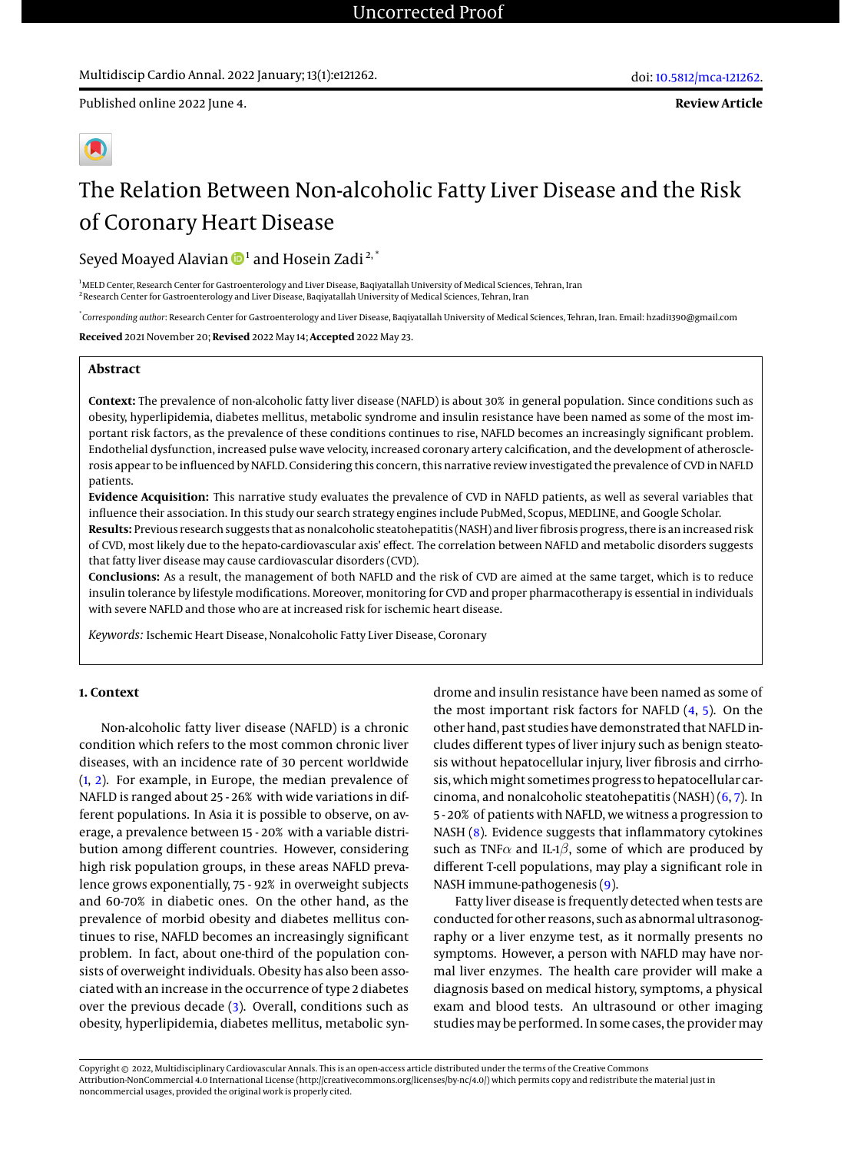Published online 2022 June 4.

# The Relation Between Non-alcoholic Fatty Liver Disease and the Risk of Coronary Heart Disease

Seyed Moayed Alavian  $\mathbf{\Phi}^{1}$  $\mathbf{\Phi}^{1}$  $\mathbf{\Phi}^{1}$  and Hosein Zadi  $^{2,^{\ast}}$ 

<sup>1</sup>MELD Center, Research Center for Gastroenterology and Liver Disease, Baqiyatallah University of Medical Sciences, Tehran, Iran <sup>2</sup> Research Center for Gastroenterology and Liver Disease, Baqiyatallah University of Medical Sciences, Tehran, Iran

\* *Corresponding author*: Research Center for Gastroenterology and Liver Disease, Baqiyatallah University of Medical Sciences, Tehran, Iran. Email: hzadi1390@gmail.com

**Received** 2021 November 20; **Revised** 2022 May 14; **Accepted** 2022 May 23.

#### **Abstract**

**Context:** The prevalence of non-alcoholic fatty liver disease (NAFLD) is about 30% in general population. Since conditions such as obesity, hyperlipidemia, diabetes mellitus, metabolic syndrome and insulin resistance have been named as some of the most important risk factors, as the prevalence of these conditions continues to rise, NAFLD becomes an increasingly significant problem. Endothelial dysfunction, increased pulse wave velocity, increased coronary artery calcification, and the development of atherosclerosis appear to be influenced by NAFLD. Considering this concern, this narrative review investigated the prevalence of CVD in NAFLD patients.

**Evidence Acquisition:** This narrative study evaluates the prevalence of CVD in NAFLD patients, as well as several variables that influence their association. In this study our search strategy engines include PubMed, Scopus, MEDLINE, and Google Scholar. **Results:** Previous research suggests that as nonalcoholic steatohepatitis (NASH) and liver fibrosis progress, there is an increased risk of CVD, most likely due to the hepato-cardiovascular axis' effect. The correlation between NAFLD and metabolic disorders suggests that fatty liver disease may cause cardiovascular disorders (CVD).

**Conclusions:** As a result, the management of both NAFLD and the risk of CVD are aimed at the same target, which is to reduce insulin tolerance by lifestyle modifications. Moreover, monitoring for CVD and proper pharmacotherapy is essential in individuals with severe NAFLD and those who are at increased risk for ischemic heart disease.

*Keywords:* Ischemic Heart Disease, Nonalcoholic Fatty Liver Disease, Coronary

### **1. Context**

Non-alcoholic fatty liver disease (NAFLD) is a chronic condition which refers to the most common chronic liver diseases, with an incidence rate of 30 percent worldwide [\(1,](#page-4-0) [2\)](#page-4-1). For example, in Europe, the median prevalence of NAFLD is ranged about 25 - 26% with wide variations in different populations. In Asia it is possible to observe, on average, a prevalence between 15 - 20% with a variable distribution among different countries. However, considering high risk population groups, in these areas NAFLD prevalence grows exponentially, 75 - 92% in overweight subjects and 60-70% in diabetic ones. On the other hand, as the prevalence of morbid obesity and diabetes mellitus continues to rise, NAFLD becomes an increasingly significant problem. In fact, about one-third of the population consists of overweight individuals. Obesity has also been associated with an increase in the occurrence of type 2 diabetes over the previous decade [\(3\)](#page-4-2). Overall, conditions such as obesity, hyperlipidemia, diabetes mellitus, metabolic syn-

drome and insulin resistance have been named as some of the most important risk factors for NAFLD [\(4,](#page-4-3) [5\)](#page-4-4). On the other hand, past studies have demonstrated that NAFLD includes different types of liver injury such as benign steatosis without hepatocellular injury, liver fibrosis and cirrhosis, which might sometimes progress to hepatocellular carcinoma, and nonalcoholic steatohepatitis (NASH) [\(6,](#page-4-5) [7\)](#page-4-6). In 5 - 20% of patients with NAFLD, we witness a progression to NASH [\(8\)](#page-4-7). Evidence suggests that inflammatory cytokines such as TNF $\alpha$  and IL-1 $\beta$ , some of which are produced by different T-cell populations, may play a significant role in NASH immune-pathogenesis [\(9\)](#page-4-8).

Fatty liver disease is frequently detected when tests are conducted for other reasons, such as abnormal ultrasonography or a liver enzyme test, as it normally presents no symptoms. However, a person with NAFLD may have normal liver enzymes. The health care provider will make a diagnosis based on medical history, symptoms, a physical exam and blood tests. An ultrasound or other imaging studies may be performed. In some cases, the provider may

Copyright © 2022, Multidisciplinary Cardiovascular Annals. This is an open-access article distributed under the terms of the Creative Commons Attribution-NonCommercial 4.0 International License (http://creativecommons.org/licenses/by-nc/4.0/) which permits copy and redistribute the material just in noncommercial usages, provided the original work is properly cited.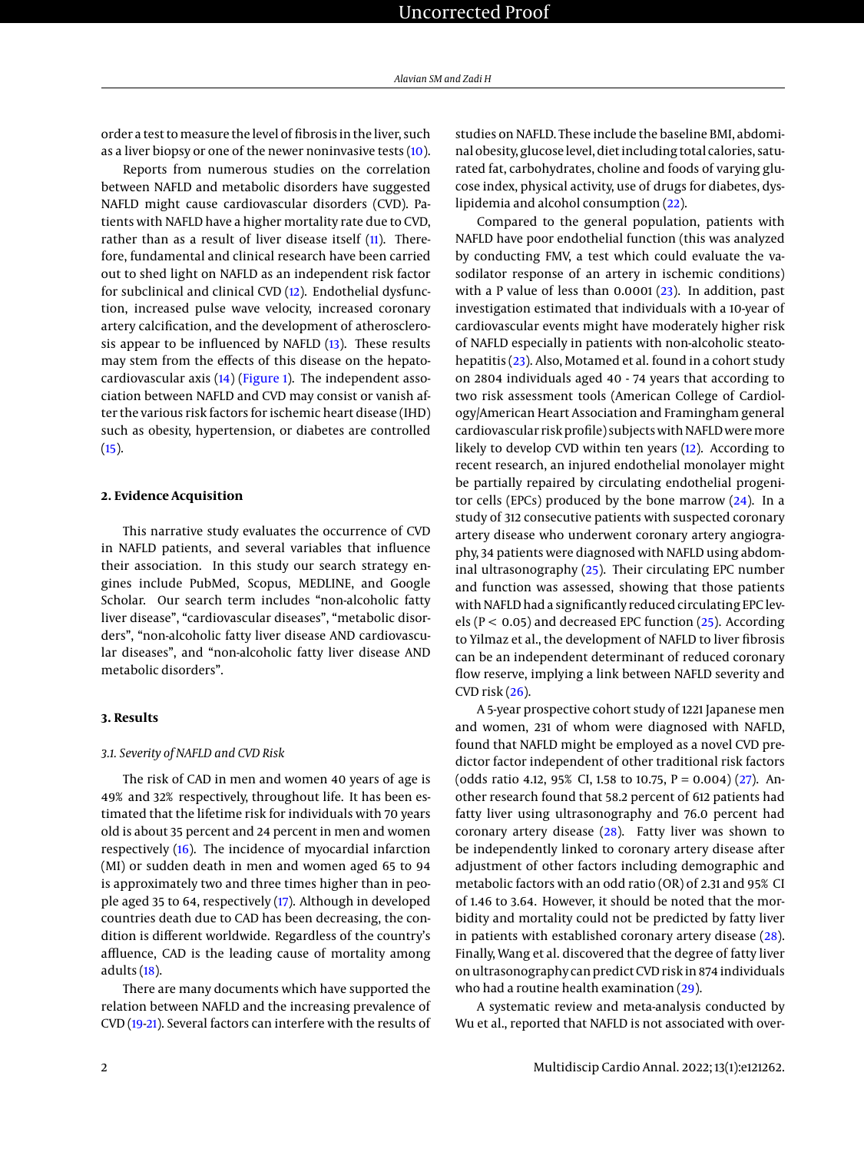order a test to measure the level of fibrosis in the liver, such as a liver biopsy or one of the newer noninvasive tests [\(10\)](#page-4-9).

Reports from numerous studies on the correlation between NAFLD and metabolic disorders have suggested NAFLD might cause cardiovascular disorders (CVD). Patients with NAFLD have a higher mortality rate due to CVD, rather than as a result of liver disease itself [\(11\)](#page-4-10). Therefore, fundamental and clinical research have been carried out to shed light on NAFLD as an independent risk factor for subclinical and clinical CVD [\(12\)](#page-5-0). Endothelial dysfunction, increased pulse wave velocity, increased coronary artery calcification, and the development of atherosclerosis appear to be influenced by NAFLD [\(13\)](#page-5-1). These results may stem from the effects of this disease on the hepatocardiovascular axis [\(14\)](#page-5-2) [\(Figure 1\)](#page-2-0). The independent association between NAFLD and CVD may consist or vanish after the various risk factors for ischemic heart disease (IHD) such as obesity, hypertension, or diabetes are controlled  $(15)$ .

#### **2. Evidence Acquisition**

This narrative study evaluates the occurrence of CVD in NAFLD patients, and several variables that influence their association. In this study our search strategy engines include PubMed, Scopus, MEDLINE, and Google Scholar. Our search term includes "non-alcoholic fatty liver disease", "cardiovascular diseases", "metabolic disorders", "non-alcoholic fatty liver disease AND cardiovascular diseases", and "non-alcoholic fatty liver disease AND metabolic disorders".

#### **3. Results**

#### *3.1. Severity of NAFLD and CVD Risk*

The risk of CAD in men and women 40 years of age is 49% and 32% respectively, throughout life. It has been estimated that the lifetime risk for individuals with 70 years old is about 35 percent and 24 percent in men and women respectively [\(16\)](#page-5-4). The incidence of myocardial infarction (MI) or sudden death in men and women aged 65 to 94 is approximately two and three times higher than in people aged 35 to 64, respectively [\(17\)](#page-5-5). Although in developed countries death due to CAD has been decreasing, the condition is different worldwide. Regardless of the country's affluence, CAD is the leading cause of mortality among adults [\(18\)](#page-5-6).

There are many documents which have supported the relation between NAFLD and the increasing prevalence of CVD [\(19](#page-5-7)[-21\)](#page-5-8). Several factors can interfere with the results of studies on NAFLD. These include the baseline BMI, abdominal obesity, glucose level, diet including total calories, saturated fat, carbohydrates, choline and foods of varying glucose index, physical activity, use of drugs for diabetes, dyslipidemia and alcohol consumption [\(22\)](#page-5-9).

Compared to the general population, patients with NAFLD have poor endothelial function (this was analyzed by conducting FMV, a test which could evaluate the vasodilator response of an artery in ischemic conditions) with a P value of less than 0.0001 [\(23\)](#page-5-10). In addition, past investigation estimated that individuals with a 10-year of cardiovascular events might have moderately higher risk of NAFLD especially in patients with non-alcoholic steatohepatitis [\(23\)](#page-5-10). Also, Motamed et al. found in a cohort study on 2804 individuals aged 40 - 74 years that according to two risk assessment tools (American College of Cardiology/American Heart Association and Framingham general cardiovascular risk profile) subjects with NAFLD were more likely to develop CVD within ten years [\(12\)](#page-5-0). According to recent research, an injured endothelial monolayer might be partially repaired by circulating endothelial progenitor cells (EPCs) produced by the bone marrow  $(24)$ . In a study of 312 consecutive patients with suspected coronary artery disease who underwent coronary artery angiography, 34 patients were diagnosed with NAFLD using abdominal ultrasonography [\(25\)](#page-5-12). Their circulating EPC number and function was assessed, showing that those patients with NAFLD had a significantly reduced circulating EPC levels ( $P < 0.05$ ) and decreased EPC function ( $25$ ). According to Yilmaz et al., the development of NAFLD to liver fibrosis can be an independent determinant of reduced coronary flow reserve, implying a link between NAFLD severity and CVD risk  $(26)$ .

A 5-year prospective cohort study of 1221 Japanese men and women, 231 of whom were diagnosed with NAFLD, found that NAFLD might be employed as a novel CVD predictor factor independent of other traditional risk factors (odds ratio 4.12, 95% CI, 1.58 to 10.75,  $P = 0.004$ ) [\(27\)](#page-5-14). Another research found that 58.2 percent of 612 patients had fatty liver using ultrasonography and 76.0 percent had coronary artery disease [\(28\)](#page-5-15). Fatty liver was shown to be independently linked to coronary artery disease after adjustment of other factors including demographic and metabolic factors with an odd ratio (OR) of 2.31 and 95% CI of 1.46 to 3.64. However, it should be noted that the morbidity and mortality could not be predicted by fatty liver in patients with established coronary artery disease [\(28\)](#page-5-15). Finally, Wang et al. discovered that the degree of fatty liver on ultrasonography can predict CVD risk in 874 individuals who had a routine health examination [\(29\)](#page-5-16).

A systematic review and meta-analysis conducted by Wu et al., reported that NAFLD is not associated with over-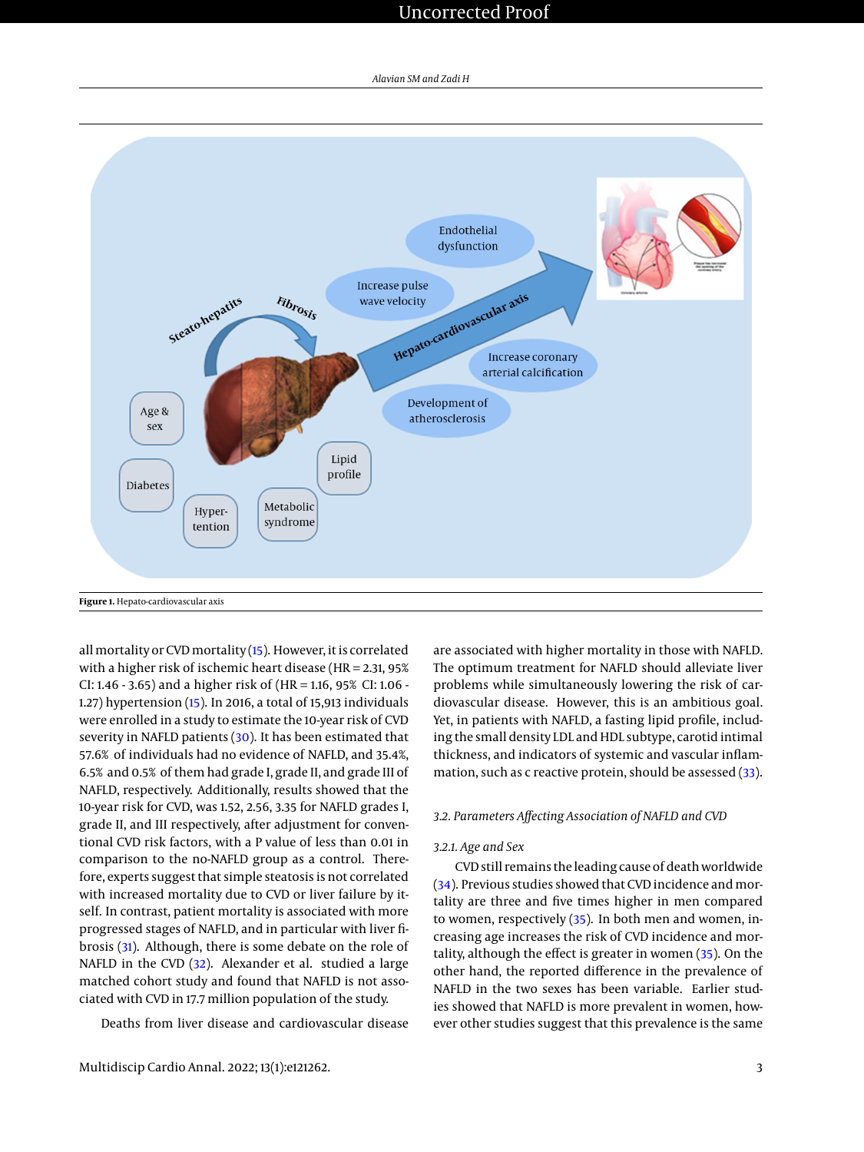## Uncorrected Proof

<span id="page-2-0"></span>

all mortality or CVD mortality [\(15\)](#page-5-3). However, it is correlated with a higher risk of ischemic heart disease (HR = 2.31, 95% CI: 1.46 - 3.65) and a higher risk of (HR = 1.16, 95% CI: 1.06 - 1.27) hypertension [\(15\)](#page-5-3). In 2016, a total of 15,913 individuals were enrolled in a study to estimate the 10-year risk of CVD severity in NAFLD patients [\(30\)](#page-5-17). It has been estimated that 57.6% of individuals had no evidence of NAFLD, and 35.4%, 6.5% and 0.5% of them had grade I, grade II, and grade III of NAFLD, respectively. Additionally, results showed that the 10-year risk for CVD, was 1.52, 2.56, 3.35 for NAFLD grades I, grade II, and III respectively, after adjustment for conventional CVD risk factors, with a P value of less than 0.01 in comparison to the no-NAFLD group as a control. Therefore, experts suggest that simple steatosis is not correlated with increased mortality due to CVD or liver failure by itself. In contrast, patient mortality is associated with more progressed stages of NAFLD, and in particular with liver fibrosis [\(31\)](#page-5-18). Although, there is some debate on the role of NAFLD in the CVD [\(32\)](#page-5-19). Alexander et al. studied a large matched cohort study and found that NAFLD is not associated with CVD in 17.7 million population of the study.

Deaths from liver disease and cardiovascular disease

are associated with higher mortality in those with NAFLD. The optimum treatment for NAFLD should alleviate liver problems while simultaneously lowering the risk of cardiovascular disease. However, this is an ambitious goal. Yet, in patients with NAFLD, a fasting lipid profile, including the small density LDL and HDL subtype, carotid intimal thickness, and indicators of systemic and vascular inflammation, such as c reactive protein, should be assessed [\(33\)](#page-5-20).

#### *3.2. Parameters Affecting Association of NAFLD and CVD*

#### *3.2.1. Age and Sex*

CVD still remains the leading cause of death worldwide [\(34\)](#page-5-21). Previous studies showed that CVD incidence and mortality are three and five times higher in men compared to women, respectively [\(35\)](#page-5-22). In both men and women, increasing age increases the risk of CVD incidence and mortality, although the effect is greater in women [\(35\)](#page-5-22). On the other hand, the reported difference in the prevalence of NAFLD in the two sexes has been variable. Earlier studies showed that NAFLD is more prevalent in women, however other studies suggest that this prevalence is the same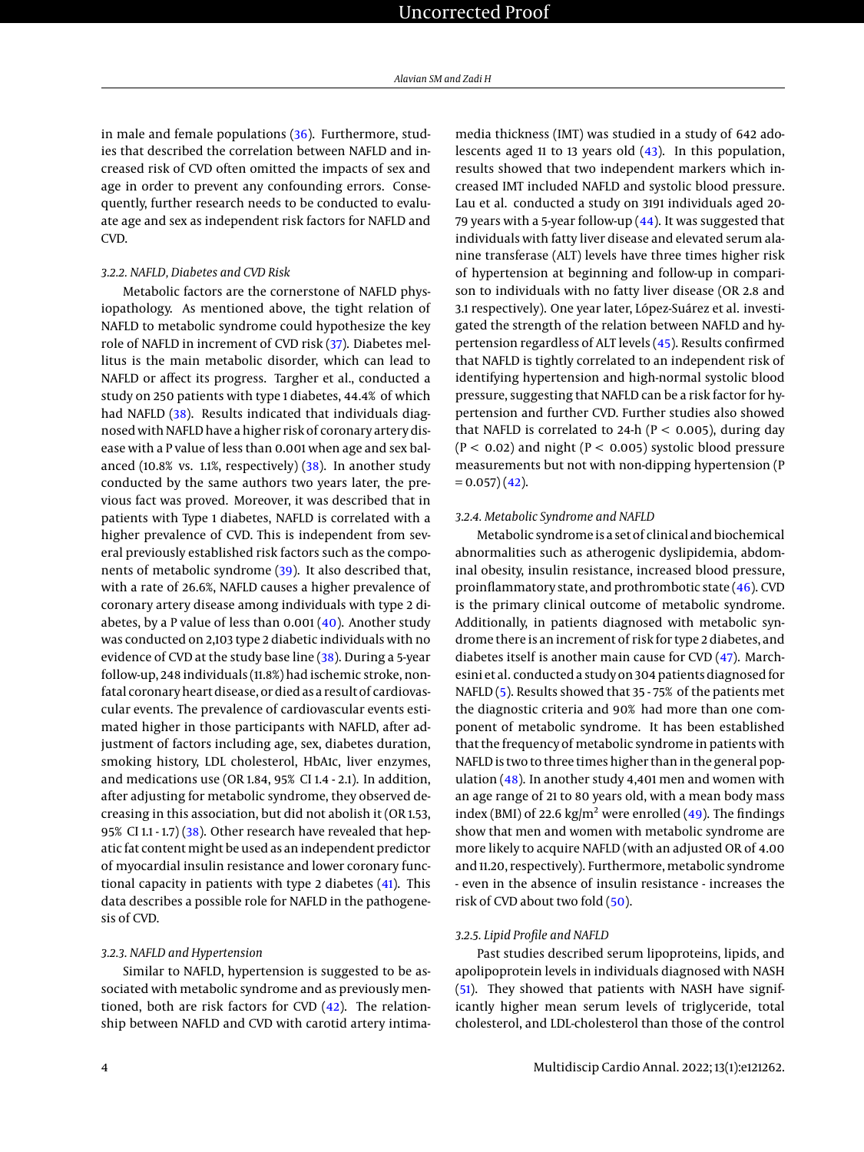in male and female populations [\(36\)](#page-5-23). Furthermore, studies that described the correlation between NAFLD and increased risk of CVD often omitted the impacts of sex and age in order to prevent any confounding errors. Consequently, further research needs to be conducted to evaluate age and sex as independent risk factors for NAFLD and CVD.

#### *3.2.2. NAFLD, Diabetes and CVD Risk*

Metabolic factors are the cornerstone of NAFLD physiopathology. As mentioned above, the tight relation of NAFLD to metabolic syndrome could hypothesize the key role of NAFLD in increment of CVD risk [\(37\)](#page-5-24). Diabetes mellitus is the main metabolic disorder, which can lead to NAFLD or affect its progress. Targher et al., conducted a study on 250 patients with type 1 diabetes, 44.4% of which had NAFLD [\(38\)](#page-5-25). Results indicated that individuals diagnosed with NAFLD have a higher risk of coronary artery disease with a P value of less than 0.001 when age and sex balanced (10.8% vs. 1.1%, respectively) [\(38\)](#page-5-25). In another study conducted by the same authors two years later, the previous fact was proved. Moreover, it was described that in patients with Type 1 diabetes, NAFLD is correlated with a higher prevalence of CVD. This is independent from several previously established risk factors such as the components of metabolic syndrome [\(39\)](#page-5-26). It also described that, with a rate of 26.6%, NAFLD causes a higher prevalence of coronary artery disease among individuals with type 2 diabetes, by a P value of less than  $0.001(40)$  $0.001(40)$ . Another study was conducted on 2,103 type 2 diabetic individuals with no evidence of CVD at the study base line [\(38\)](#page-5-25). During a 5-year follow-up, 248 individuals (11.8%) had ischemic stroke, nonfatal coronary heart disease, or died as a result of cardiovascular events. The prevalence of cardiovascular events estimated higher in those participants with NAFLD, after adjustment of factors including age, sex, diabetes duration, smoking history, LDL cholesterol, HbA1c, liver enzymes, and medications use (OR 1.84, 95% CI 1.4 - 2.1). In addition, after adjusting for metabolic syndrome, they observed decreasing in this association, but did not abolish it (OR 1.53, 95% CI 1.1 - 1.7) [\(38\)](#page-5-25). Other research have revealed that hepatic fat content might be used as an independent predictor of myocardial insulin resistance and lower coronary functional capacity in patients with type 2 diabetes [\(41\)](#page-5-28). This data describes a possible role for NAFLD in the pathogenesis of CVD.

#### *3.2.3. NAFLD and Hypertension*

Similar to NAFLD, hypertension is suggested to be associated with metabolic syndrome and as previously mentioned, both are risk factors for CVD [\(42\)](#page-5-29). The relationship between NAFLD and CVD with carotid artery intimamedia thickness (IMT) was studied in a study of 642 adolescents aged 11 to 13 years old [\(43\)](#page-6-0). In this population, results showed that two independent markers which increased IMT included NAFLD and systolic blood pressure. Lau et al. conducted a study on 3191 individuals aged 20- 79 years with a 5-year follow-up  $(44)$ . It was suggested that individuals with fatty liver disease and elevated serum alanine transferase (ALT) levels have three times higher risk of hypertension at beginning and follow-up in comparison to individuals with no fatty liver disease (OR 2.8 and 3.1 respectively). One year later, López-Suárez et al. investigated the strength of the relation between NAFLD and hypertension regardless of ALT levels [\(45\)](#page-6-2). Results confirmed that NAFLD is tightly correlated to an independent risk of identifying hypertension and high-normal systolic blood pressure, suggesting that NAFLD can be a risk factor for hypertension and further CVD. Further studies also showed that NAFLD is correlated to 24-h ( $P < 0.005$ ), during day  $(P < 0.02)$  and night  $(P < 0.005)$  systolic blood pressure measurements but not with non-dipping hypertension (P  $= 0.057$  $(42)$ .

#### *3.2.4. Metabolic Syndrome and NAFLD*

Metabolic syndrome is a set of clinical and biochemical abnormalities such as atherogenic dyslipidemia, abdominal obesity, insulin resistance, increased blood pressure, proinflammatory state, and prothrombotic state [\(46\)](#page-6-3). CVD is the primary clinical outcome of metabolic syndrome. Additionally, in patients diagnosed with metabolic syndrome there is an increment of risk for type 2 diabetes, and diabetes itself is another main cause for CVD [\(47\)](#page-6-4). Marchesini et al. conducted a study on 304 patients diagnosed for NAFLD [\(5\)](#page-4-4). Results showed that 35 - 75% of the patients met the diagnostic criteria and 90% had more than one component of metabolic syndrome. It has been established that the frequency of metabolic syndrome in patients with NAFLD is two to three times higher than in the general population [\(48\)](#page-6-5). In another study 4,401 men and women with an age range of 21 to 80 years old, with a mean body mass index (BMI) of 22.6 kg/m<sup>2</sup> were enrolled [\(49\)](#page-6-6). The findings show that men and women with metabolic syndrome are more likely to acquire NAFLD (with an adjusted OR of 4.00 and 11.20, respectively). Furthermore, metabolic syndrome - even in the absence of insulin resistance - increases the risk of CVD about two fold [\(50\)](#page-6-7).

#### *3.2.5. Lipid Profile and NAFLD*

Past studies described serum lipoproteins, lipids, and apolipoprotein levels in individuals diagnosed with NASH [\(51\)](#page-6-8). They showed that patients with NASH have significantly higher mean serum levels of triglyceride, total cholesterol, and LDL-cholesterol than those of the control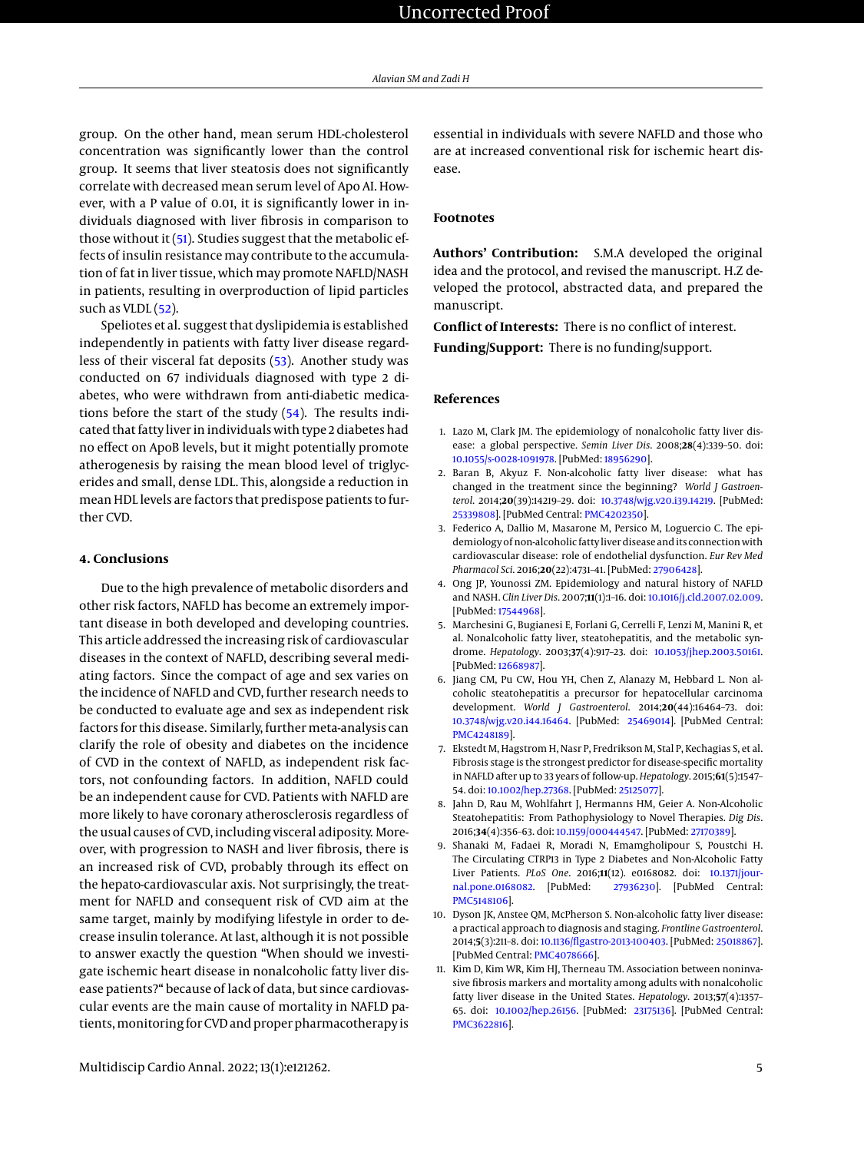group. On the other hand, mean serum HDL-cholesterol concentration was significantly lower than the control group. It seems that liver steatosis does not significantly correlate with decreased mean serum level of Apo AI. However, with a P value of 0.01, it is significantly lower in individuals diagnosed with liver fibrosis in comparison to those without it [\(51\)](#page-6-8). Studies suggest that the metabolic effects of insulin resistance may contribute to the accumulation of fat in liver tissue, which may promote NAFLD/NASH in patients, resulting in overproduction of lipid particles such as VLDL [\(52\)](#page-6-9).

Speliotes et al. suggest that dyslipidemia is established independently in patients with fatty liver disease regardless of their visceral fat deposits [\(53\)](#page-6-10). Another study was conducted on 67 individuals diagnosed with type 2 diabetes, who were withdrawn from anti-diabetic medications before the start of the study [\(54\)](#page-6-11). The results indicated that fatty liver in individuals with type 2 diabetes had no effect on ApoB levels, but it might potentially promote atherogenesis by raising the mean blood level of triglycerides and small, dense LDL. This, alongside a reduction in mean HDL levels are factors that predispose patients to further CVD.

#### **4. Conclusions**

Due to the high prevalence of metabolic disorders and other risk factors, NAFLD has become an extremely important disease in both developed and developing countries. This article addressed the increasing risk of cardiovascular diseases in the context of NAFLD, describing several mediating factors. Since the compact of age and sex varies on the incidence of NAFLD and CVD, further research needs to be conducted to evaluate age and sex as independent risk factors for this disease. Similarly, further meta-analysis can clarify the role of obesity and diabetes on the incidence of CVD in the context of NAFLD, as independent risk factors, not confounding factors. In addition, NAFLD could be an independent cause for CVD. Patients with NAFLD are more likely to have coronary atherosclerosis regardless of the usual causes of CVD, including visceral adiposity. Moreover, with progression to NASH and liver fibrosis, there is an increased risk of CVD, probably through its effect on the hepato-cardiovascular axis. Not surprisingly, the treatment for NAFLD and consequent risk of CVD aim at the same target, mainly by modifying lifestyle in order to decrease insulin tolerance. At last, although it is not possible to answer exactly the question "When should we investigate ischemic heart disease in nonalcoholic fatty liver disease patients?" because of lack of data, but since cardiovascular events are the main cause of mortality in NAFLD patients,monitoring for CVD and proper pharmacotherapy is

essential in individuals with severe NAFLD and those who are at increased conventional risk for ischemic heart disease.

#### **Footnotes**

**Authors' Contribution:** S.M.A developed the original idea and the protocol, and revised the manuscript. H.Z developed the protocol, abstracted data, and prepared the manuscript.

**Conflict of Interests:** There is no conflict of interest.

**Funding/Support:** There is no funding/support.

#### **References**

- <span id="page-4-0"></span>1. Lazo M, Clark JM. The epidemiology of nonalcoholic fatty liver disease: a global perspective. *Semin Liver Dis*. 2008;**28**(4):339–50. doi: [10.1055/s-0028-1091978.](http://dx.doi.org/10.1055/s-0028-1091978) [PubMed: [18956290\]](http://www.ncbi.nlm.nih.gov/pubmed/18956290).
- <span id="page-4-1"></span>2. Baran B, Akyuz F. Non-alcoholic fatty liver disease: what has changed in the treatment since the beginning? *World J Gastroenterol*. 2014;**20**(39):14219–29. doi: [10.3748/wjg.v20.i39.14219.](http://dx.doi.org/10.3748/wjg.v20.i39.14219) [PubMed: [25339808\]](http://www.ncbi.nlm.nih.gov/pubmed/25339808). [PubMed Central: [PMC4202350\]](https://www.ncbi.nlm.nih.gov/pmc/articles/PMC4202350).
- <span id="page-4-2"></span>3. Federico A, Dallio M, Masarone M, Persico M, Loguercio C. The epidemiology of non-alcoholic fatty liver disease and its connection with cardiovascular disease: role of endothelial dysfunction. *Eur Rev Med Pharmacol Sci*. 2016;**20**(22):4731–41. [PubMed: [27906428\]](http://www.ncbi.nlm.nih.gov/pubmed/27906428).
- <span id="page-4-3"></span>4. Ong JP, Younossi ZM. Epidemiology and natural history of NAFLD and NASH. *Clin Liver Dis*. 2007;**11**(1):1–16. doi: [10.1016/j.cld.2007.02.009.](http://dx.doi.org/10.1016/j.cld.2007.02.009) [PubMed: [17544968\]](http://www.ncbi.nlm.nih.gov/pubmed/17544968).
- <span id="page-4-4"></span>5. Marchesini G, Bugianesi E, Forlani G, Cerrelli F, Lenzi M, Manini R, et al. Nonalcoholic fatty liver, steatohepatitis, and the metabolic syndrome. *Hepatology*. 2003;**37**(4):917–23. doi: [10.1053/jhep.2003.50161.](http://dx.doi.org/10.1053/jhep.2003.50161) [PubMed: [12668987\]](http://www.ncbi.nlm.nih.gov/pubmed/12668987).
- <span id="page-4-5"></span>6. Jiang CM, Pu CW, Hou YH, Chen Z, Alanazy M, Hebbard L. Non alcoholic steatohepatitis a precursor for hepatocellular carcinoma development. *World J Gastroenterol*. 2014;**20**(44):16464–73. doi: [10.3748/wjg.v20.i44.16464.](http://dx.doi.org/10.3748/wjg.v20.i44.16464) [PubMed: [25469014\]](http://www.ncbi.nlm.nih.gov/pubmed/25469014). [PubMed Central: [PMC4248189\]](https://www.ncbi.nlm.nih.gov/pmc/articles/PMC4248189).
- <span id="page-4-6"></span>7. Ekstedt M, Hagstrom H, Nasr P, Fredrikson M, Stal P, Kechagias S, et al. Fibrosis stage is the strongest predictor for disease-specific mortality in NAFLD after up to 33 years of follow-up.*Hepatology*. 2015;**61**(5):1547– 54. doi: [10.1002/hep.27368.](http://dx.doi.org/10.1002/hep.27368) [PubMed: [25125077\]](http://www.ncbi.nlm.nih.gov/pubmed/25125077).
- <span id="page-4-7"></span>8. Jahn D, Rau M, Wohlfahrt J, Hermanns HM, Geier A. Non-Alcoholic Steatohepatitis: From Pathophysiology to Novel Therapies. *Dig Dis*. 2016;**34**(4):356–63. doi: [10.1159/000444547.](http://dx.doi.org/10.1159/000444547) [PubMed: [27170389\]](http://www.ncbi.nlm.nih.gov/pubmed/27170389).
- <span id="page-4-8"></span>9. Shanaki M, Fadaei R, Moradi N, Emamgholipour S, Poustchi H. The Circulating CTRP13 in Type 2 Diabetes and Non-Alcoholic Fatty Liver Patients. *PLoS One*. 2016;**11**(12). e0168082. doi: [10.1371/jour](http://dx.doi.org/10.1371/journal.pone.0168082)[nal.pone.0168082.](http://dx.doi.org/10.1371/journal.pone.0168082) [PubMed: [27936230\]](http://www.ncbi.nlm.nih.gov/pubmed/27936230). [PubMed Central: [PMC5148106\]](https://www.ncbi.nlm.nih.gov/pmc/articles/PMC5148106).
- <span id="page-4-9"></span>10. Dyson JK, Anstee QM, McPherson S. Non-alcoholic fatty liver disease: a practical approach to diagnosis and staging. *Frontline Gastroenterol*. 2014;**5**(3):211–8. doi: [10.1136/flgastro-2013-100403.](http://dx.doi.org/10.1136/flgastro-2013-100403) [PubMed: [25018867\]](http://www.ncbi.nlm.nih.gov/pubmed/25018867). [PubMed Central: [PMC4078666\]](https://www.ncbi.nlm.nih.gov/pmc/articles/PMC4078666).
- <span id="page-4-10"></span>11. Kim D, Kim WR, Kim HJ, Therneau TM. Association between noninvasive fibrosis markers and mortality among adults with nonalcoholic fatty liver disease in the United States. *Hepatology*. 2013;**57**(4):1357– 65. doi: [10.1002/hep.26156.](http://dx.doi.org/10.1002/hep.26156) [PubMed: [23175136\]](http://www.ncbi.nlm.nih.gov/pubmed/23175136). [PubMed Central: [PMC3622816\]](https://www.ncbi.nlm.nih.gov/pmc/articles/PMC3622816).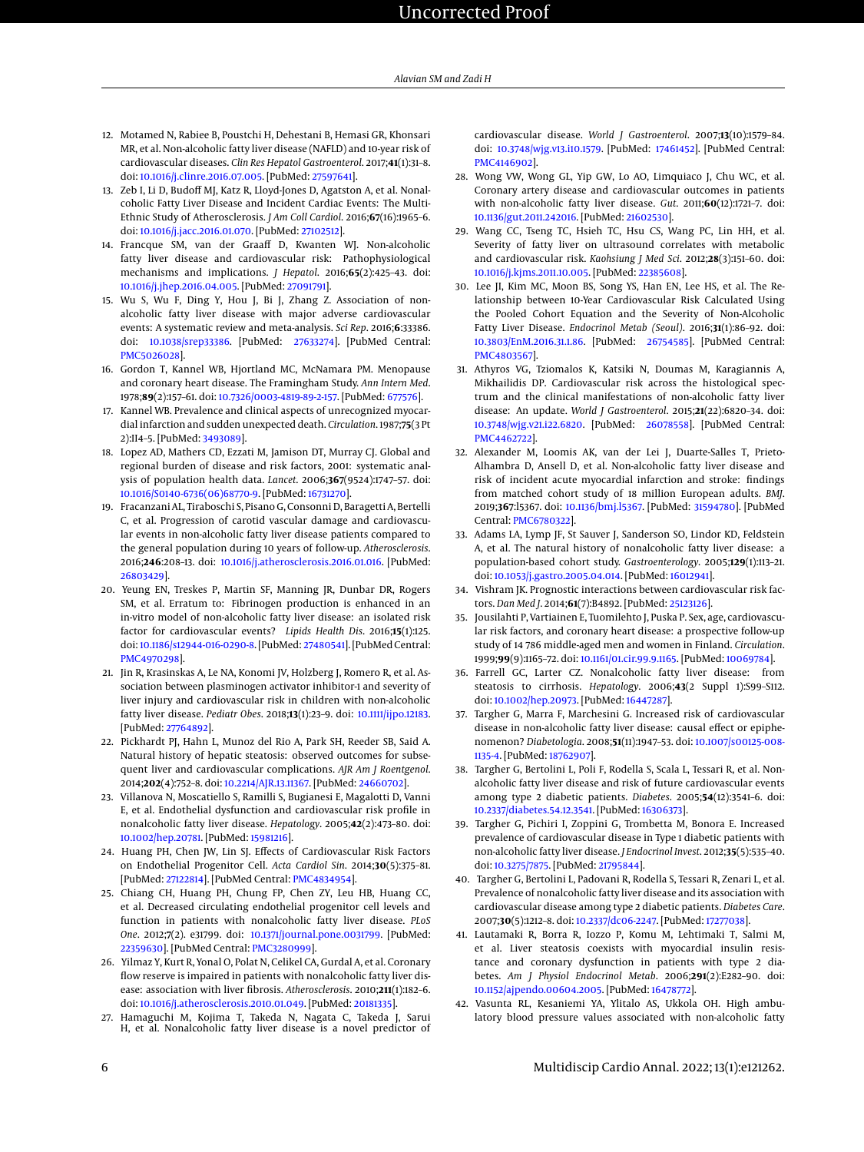- <span id="page-5-0"></span>12. Motamed N, Rabiee B, Poustchi H, Dehestani B, Hemasi GR, Khonsari MR, et al. Non-alcoholic fatty liver disease (NAFLD) and 10-year risk of cardiovascular diseases. *Clin Res Hepatol Gastroenterol*. 2017;**41**(1):31–8. doi: [10.1016/j.clinre.2016.07.005.](http://dx.doi.org/10.1016/j.clinre.2016.07.005) [PubMed: [27597641\]](http://www.ncbi.nlm.nih.gov/pubmed/27597641).
- <span id="page-5-1"></span>13. Zeb I, Li D, Budoff MJ, Katz R, Lloyd-Jones D, Agatston A, et al. Nonalcoholic Fatty Liver Disease and Incident Cardiac Events: The Multi-Ethnic Study of Atherosclerosis. *J Am Coll Cardiol*. 2016;**67**(16):1965–6. doi: [10.1016/j.jacc.2016.01.070.](http://dx.doi.org/10.1016/j.jacc.2016.01.070) [PubMed: [27102512\]](http://www.ncbi.nlm.nih.gov/pubmed/27102512).
- <span id="page-5-2"></span>14. Francque SM, van der Graaff D, Kwanten WJ. Non-alcoholic fatty liver disease and cardiovascular risk: Pathophysiological mechanisms and implications. *J Hepatol*. 2016;**65**(2):425–43. doi: [10.1016/j.jhep.2016.04.005.](http://dx.doi.org/10.1016/j.jhep.2016.04.005) [PubMed: [27091791\]](http://www.ncbi.nlm.nih.gov/pubmed/27091791).
- <span id="page-5-3"></span>15. Wu S, Wu F, Ding Y, Hou J, Bi J, Zhang Z. Association of nonalcoholic fatty liver disease with major adverse cardiovascular events: A systematic review and meta-analysis. *Sci Rep*. 2016;**6**:33386. doi: [10.1038/srep33386.](http://dx.doi.org/10.1038/srep33386) [PubMed: [27633274\]](http://www.ncbi.nlm.nih.gov/pubmed/27633274). [PubMed Central: [PMC5026028\]](https://www.ncbi.nlm.nih.gov/pmc/articles/PMC5026028).
- <span id="page-5-4"></span>16. Gordon T, Kannel WB, Hjortland MC, McNamara PM. Menopause and coronary heart disease. The Framingham Study. *Ann Intern Med*. 1978;**89**(2):157–61. doi: [10.7326/0003-4819-89-2-157.](http://dx.doi.org/10.7326/0003-4819-89-2-157) [PubMed: [677576\]](http://www.ncbi.nlm.nih.gov/pubmed/677576).
- <span id="page-5-5"></span>17. Kannel WB. Prevalence and clinical aspects of unrecognized myocardial infarction and sudden unexpected death. *Circulation*. 1987;**75**(3 Pt 2):II4–5. [PubMed: [3493089\]](http://www.ncbi.nlm.nih.gov/pubmed/3493089).
- <span id="page-5-6"></span>18. Lopez AD, Mathers CD, Ezzati M, Jamison DT, Murray CJ. Global and regional burden of disease and risk factors, 2001: systematic analysis of population health data. *Lancet*. 2006;**367**(9524):1747–57. doi: [10.1016/S0140-6736\(06\)68770-9.](http://dx.doi.org/10.1016/S0140-6736(06)68770-9) [PubMed: [16731270\]](http://www.ncbi.nlm.nih.gov/pubmed/16731270).
- <span id="page-5-7"></span>19. Fracanzani AL, Tiraboschi S, Pisano G, Consonni D, Baragetti A, Bertelli C, et al. Progression of carotid vascular damage and cardiovascular events in non-alcoholic fatty liver disease patients compared to the general population during 10 years of follow-up. *Atherosclerosis*. 2016;**246**:208–13. doi: [10.1016/j.atherosclerosis.2016.01.016.](http://dx.doi.org/10.1016/j.atherosclerosis.2016.01.016) [PubMed: [26803429\]](http://www.ncbi.nlm.nih.gov/pubmed/26803429).
- 20. Yeung EN, Treskes P, Martin SF, Manning JR, Dunbar DR, Rogers SM, et al. Erratum to: Fibrinogen production is enhanced in an in-vitro model of non-alcoholic fatty liver disease: an isolated risk factor for cardiovascular events? *Lipids Health Dis*. 2016;**15**(1):125. doi: [10.1186/s12944-016-0290-8.](http://dx.doi.org/10.1186/s12944-016-0290-8) [PubMed: [27480541\]](http://www.ncbi.nlm.nih.gov/pubmed/27480541). [PubMed Central: [PMC4970298\]](https://www.ncbi.nlm.nih.gov/pmc/articles/PMC4970298).
- <span id="page-5-8"></span>21. Jin R, Krasinskas A, Le NA, Konomi JV, Holzberg J, Romero R, et al. Association between plasminogen activator inhibitor-1 and severity of liver injury and cardiovascular risk in children with non-alcoholic fatty liver disease. *Pediatr Obes*. 2018;**13**(1):23–9. doi: [10.1111/ijpo.12183.](http://dx.doi.org/10.1111/ijpo.12183) [PubMed: [27764892\]](http://www.ncbi.nlm.nih.gov/pubmed/27764892).
- <span id="page-5-9"></span>22. Pickhardt PJ, Hahn L, Munoz del Rio A, Park SH, Reeder SB, Said A. Natural history of hepatic steatosis: observed outcomes for subsequent liver and cardiovascular complications. *AJR Am J Roentgenol*. 2014;**202**(4):752–8. doi: [10.2214/AJR.13.11367.](http://dx.doi.org/10.2214/AJR.13.11367) [PubMed: [24660702\]](http://www.ncbi.nlm.nih.gov/pubmed/24660702).
- <span id="page-5-10"></span>23. Villanova N, Moscatiello S, Ramilli S, Bugianesi E, Magalotti D, Vanni E, et al. Endothelial dysfunction and cardiovascular risk profile in nonalcoholic fatty liver disease. *Hepatology*. 2005;**42**(2):473–80. doi: [10.1002/hep.20781.](http://dx.doi.org/10.1002/hep.20781) [PubMed: [15981216\]](http://www.ncbi.nlm.nih.gov/pubmed/15981216).
- <span id="page-5-11"></span>24. Huang PH, Chen JW, Lin SJ. Effects of Cardiovascular Risk Factors on Endothelial Progenitor Cell. *Acta Cardiol Sin*. 2014;**30**(5):375–81. [PubMed: [27122814\]](http://www.ncbi.nlm.nih.gov/pubmed/27122814). [PubMed Central: [PMC4834954\]](https://www.ncbi.nlm.nih.gov/pmc/articles/PMC4834954).
- <span id="page-5-12"></span>25. Chiang CH, Huang PH, Chung FP, Chen ZY, Leu HB, Huang CC, et al. Decreased circulating endothelial progenitor cell levels and function in patients with nonalcoholic fatty liver disease. *PLoS One*. 2012;**7**(2). e31799. doi: [10.1371/journal.pone.0031799.](http://dx.doi.org/10.1371/journal.pone.0031799) [PubMed: [22359630\]](http://www.ncbi.nlm.nih.gov/pubmed/22359630). [PubMed Central: [PMC3280999\]](https://www.ncbi.nlm.nih.gov/pmc/articles/PMC3280999).
- <span id="page-5-13"></span>26. Yilmaz Y, Kurt R, Yonal O, Polat N, Celikel CA, Gurdal A, et al. Coronary flow reserve is impaired in patients with nonalcoholic fatty liver disease: association with liver fibrosis. *Atherosclerosis*. 2010;**211**(1):182–6. doi: [10.1016/j.atherosclerosis.2010.01.049.](http://dx.doi.org/10.1016/j.atherosclerosis.2010.01.049) [PubMed: [20181335\]](http://www.ncbi.nlm.nih.gov/pubmed/20181335).
- <span id="page-5-14"></span>27. Hamaguchi M, Kojima T, Takeda N, Nagata C, Takeda J, Sarui H, et al. Nonalcoholic fatty liver disease is a novel predictor of

cardiovascular disease. *World J Gastroenterol*. 2007;**13**(10):1579–84. doi: [10.3748/wjg.v13.i10.1579.](http://dx.doi.org/10.3748/wjg.v13.i10.1579) [PubMed: [17461452\]](http://www.ncbi.nlm.nih.gov/pubmed/17461452). [PubMed Central: [PMC4146902\]](https://www.ncbi.nlm.nih.gov/pmc/articles/PMC4146902).

- <span id="page-5-15"></span>28. Wong VW, Wong GL, Yip GW, Lo AO, Limquiaco J, Chu WC, et al. Coronary artery disease and cardiovascular outcomes in patients with non-alcoholic fatty liver disease. *Gut*. 2011;**60**(12):1721–7. doi: [10.1136/gut.2011.242016.](http://dx.doi.org/10.1136/gut.2011.242016) [PubMed: [21602530\]](http://www.ncbi.nlm.nih.gov/pubmed/21602530).
- <span id="page-5-16"></span>29. Wang CC, Tseng TC, Hsieh TC, Hsu CS, Wang PC, Lin HH, et al. Severity of fatty liver on ultrasound correlates with metabolic and cardiovascular risk. *Kaohsiung J Med Sci*. 2012;**28**(3):151–60. doi: [10.1016/j.kjms.2011.10.005.](http://dx.doi.org/10.1016/j.kjms.2011.10.005) [PubMed: [22385608\]](http://www.ncbi.nlm.nih.gov/pubmed/22385608).
- <span id="page-5-17"></span>30. Lee JI, Kim MC, Moon BS, Song YS, Han EN, Lee HS, et al. The Relationship between 10-Year Cardiovascular Risk Calculated Using the Pooled Cohort Equation and the Severity of Non-Alcoholic Fatty Liver Disease. *Endocrinol Metab (Seoul)*. 2016;**31**(1):86–92. doi: [10.3803/EnM.2016.31.1.86.](http://dx.doi.org/10.3803/EnM.2016.31.1.86) [PubMed: [26754585\]](http://www.ncbi.nlm.nih.gov/pubmed/26754585). [PubMed Central: [PMC4803567\]](https://www.ncbi.nlm.nih.gov/pmc/articles/PMC4803567).
- <span id="page-5-18"></span>31. Athyros VG, Tziomalos K, Katsiki N, Doumas M, Karagiannis A, Mikhailidis DP. Cardiovascular risk across the histological spectrum and the clinical manifestations of non-alcoholic fatty liver disease: An update. *World J Gastroenterol*. 2015;**21**(22):6820–34. doi: [10.3748/wjg.v21.i22.6820.](http://dx.doi.org/10.3748/wjg.v21.i22.6820) [PubMed: [26078558\]](http://www.ncbi.nlm.nih.gov/pubmed/26078558). [PubMed Central: [PMC4462722\]](https://www.ncbi.nlm.nih.gov/pmc/articles/PMC4462722).
- <span id="page-5-19"></span>32. Alexander M, Loomis AK, van der Lei J, Duarte-Salles T, Prieto-Alhambra D, Ansell D, et al. Non-alcoholic fatty liver disease and risk of incident acute myocardial infarction and stroke: findings from matched cohort study of 18 million European adults. *BMJ*. 2019;**367**:l5367. doi: [10.1136/bmj.l5367.](http://dx.doi.org/10.1136/bmj.l5367) [PubMed: [31594780\]](http://www.ncbi.nlm.nih.gov/pubmed/31594780). [PubMed Central: [PMC6780322\]](https://www.ncbi.nlm.nih.gov/pmc/articles/PMC6780322).
- <span id="page-5-20"></span>33. Adams LA, Lymp JF, St Sauver J, Sanderson SO, Lindor KD, Feldstein A, et al. The natural history of nonalcoholic fatty liver disease: a population-based cohort study. *Gastroenterology*. 2005;**129**(1):113–21. doi: [10.1053/j.gastro.2005.04.014.](http://dx.doi.org/10.1053/j.gastro.2005.04.014) [PubMed: [16012941\]](http://www.ncbi.nlm.nih.gov/pubmed/16012941).
- <span id="page-5-21"></span>34. Vishram JK. Prognostic interactions between cardiovascular risk factors. *Dan Med J*. 2014;**61**(7):B4892. [PubMed: [25123126\]](http://www.ncbi.nlm.nih.gov/pubmed/25123126).
- <span id="page-5-22"></span>35. Jousilahti P, Vartiainen E, Tuomilehto J, Puska P. Sex, age, cardiovascular risk factors, and coronary heart disease: a prospective follow-up study of 14 786 middle-aged men and women in Finland. *Circulation*. 1999;**99**(9):1165–72. doi: [10.1161/01.cir.99.9.1165.](http://dx.doi.org/10.1161/01.cir.99.9.1165) [PubMed: [10069784\]](http://www.ncbi.nlm.nih.gov/pubmed/10069784).
- <span id="page-5-23"></span>36. Farrell GC, Larter CZ. Nonalcoholic fatty liver disease: from steatosis to cirrhosis. *Hepatology*. 2006;**43**(2 Suppl 1):S99–S112. doi: [10.1002/hep.20973.](http://dx.doi.org/10.1002/hep.20973) [PubMed: [16447287\]](http://www.ncbi.nlm.nih.gov/pubmed/16447287).
- <span id="page-5-24"></span>37. Targher G, Marra F, Marchesini G. Increased risk of cardiovascular disease in non-alcoholic fatty liver disease: causal effect or epiphenomenon? *Diabetologia*. 2008;**51**(11):1947–53. doi: [10.1007/s00125-008-](http://dx.doi.org/10.1007/s00125-008-1135-4) [1135-4.](http://dx.doi.org/10.1007/s00125-008-1135-4) [PubMed: [18762907\]](http://www.ncbi.nlm.nih.gov/pubmed/18762907).
- <span id="page-5-25"></span>38. Targher G, Bertolini L, Poli F, Rodella S, Scala L, Tessari R, et al. Nonalcoholic fatty liver disease and risk of future cardiovascular events among type 2 diabetic patients. *Diabetes*. 2005;**54**(12):3541–6. doi: [10.2337/diabetes.54.12.3541.](http://dx.doi.org/10.2337/diabetes.54.12.3541) [PubMed: [16306373\]](http://www.ncbi.nlm.nih.gov/pubmed/16306373).
- <span id="page-5-26"></span>39. Targher G, Pichiri I, Zoppini G, Trombetta M, Bonora E. Increased prevalence of cardiovascular disease in Type 1 diabetic patients with non-alcoholic fatty liver disease. *J Endocrinol Invest*. 2012;**35**(5):535–40. doi: [10.3275/7875.](http://dx.doi.org/10.3275/7875) [PubMed: [21795844\]](http://www.ncbi.nlm.nih.gov/pubmed/21795844).
- <span id="page-5-27"></span>40. Targher G, Bertolini L, Padovani R, Rodella S, Tessari R, Zenari L, et al. Prevalence of nonalcoholic fatty liver disease and its association with cardiovascular disease among type 2 diabetic patients. *Diabetes Care*. 2007;**30**(5):1212–8. doi: [10.2337/dc06-2247.](http://dx.doi.org/10.2337/dc06-2247) [PubMed: [17277038\]](http://www.ncbi.nlm.nih.gov/pubmed/17277038).
- <span id="page-5-28"></span>41. Lautamaki R, Borra R, Iozzo P, Komu M, Lehtimaki T, Salmi M, et al. Liver steatosis coexists with myocardial insulin resistance and coronary dysfunction in patients with type 2 diabetes. *Am J Physiol Endocrinol Metab*. 2006;**291**(2):E282–90. doi: [10.1152/ajpendo.00604.2005.](http://dx.doi.org/10.1152/ajpendo.00604.2005) [PubMed: [16478772\]](http://www.ncbi.nlm.nih.gov/pubmed/16478772).
- <span id="page-5-29"></span>42. Vasunta RL, Kesaniemi YA, Ylitalo AS, Ukkola OH. High ambulatory blood pressure values associated with non-alcoholic fatty